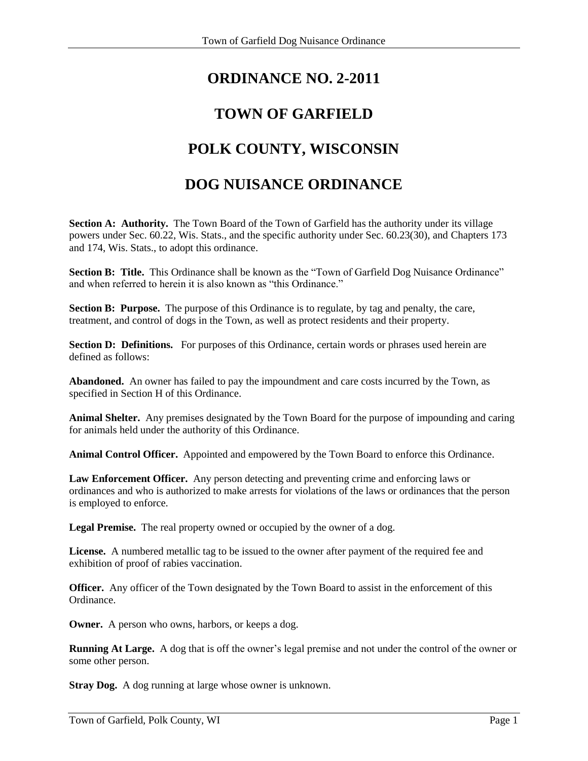# **ORDINANCE NO. 2-2011**

## **TOWN OF GARFIELD**

# **POLK COUNTY, WISCONSIN**

### **DOG NUISANCE ORDINANCE**

**Section A: Authority.** The Town Board of the Town of Garfield has the authority under its village powers under Sec. 60.22, Wis. Stats., and the specific authority under Sec. 60.23(30), and Chapters 173 and 174, Wis. Stats., to adopt this ordinance.

**Section B: Title.** This Ordinance shall be known as the "Town of Garfield Dog Nuisance Ordinance" and when referred to herein it is also known as "this Ordinance."

**Section B: Purpose.** The purpose of this Ordinance is to regulate, by tag and penalty, the care, treatment, and control of dogs in the Town, as well as protect residents and their property.

**Section D: Definitions.** For purposes of this Ordinance, certain words or phrases used herein are defined as follows:

**Abandoned.** An owner has failed to pay the impoundment and care costs incurred by the Town, as specified in Section H of this Ordinance.

**Animal Shelter.** Any premises designated by the Town Board for the purpose of impounding and caring for animals held under the authority of this Ordinance.

**Animal Control Officer.** Appointed and empowered by the Town Board to enforce this Ordinance.

**Law Enforcement Officer.** Any person detecting and preventing crime and enforcing laws or ordinances and who is authorized to make arrests for violations of the laws or ordinances that the person is employed to enforce.

**Legal Premise.** The real property owned or occupied by the owner of a dog.

**License.** A numbered metallic tag to be issued to the owner after payment of the required fee and exhibition of proof of rabies vaccination.

**Officer.** Any officer of the Town designated by the Town Board to assist in the enforcement of this Ordinance.

**Owner.** A person who owns, harbors, or keeps a dog.

**Running At Large.** A dog that is off the owner's legal premise and not under the control of the owner or some other person.

**Stray Dog.** A dog running at large whose owner is unknown.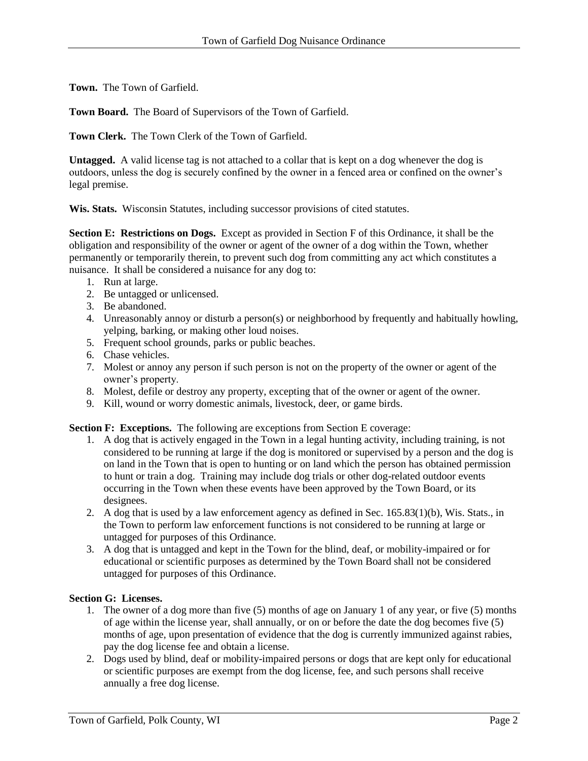**Town.** The Town of Garfield.

**Town Board.** The Board of Supervisors of the Town of Garfield.

**Town Clerk.** The Town Clerk of the Town of Garfield.

**Untagged.** A valid license tag is not attached to a collar that is kept on a dog whenever the dog is outdoors, unless the dog is securely confined by the owner in a fenced area or confined on the owner's legal premise.

**Wis. Stats.** Wisconsin Statutes, including successor provisions of cited statutes.

**Section E: Restrictions on Dogs.** Except as provided in Section F of this Ordinance, it shall be the obligation and responsibility of the owner or agent of the owner of a dog within the Town, whether permanently or temporarily therein, to prevent such dog from committing any act which constitutes a nuisance. It shall be considered a nuisance for any dog to:

- 1. Run at large.
- 2. Be untagged or unlicensed.
- 3. Be abandoned.
- 4. Unreasonably annoy or disturb a person(s) or neighborhood by frequently and habitually howling, yelping, barking, or making other loud noises.
- 5. Frequent school grounds, parks or public beaches.
- 6. Chase vehicles.
- 7. Molest or annoy any person if such person is not on the property of the owner or agent of the owner's property.
- 8. Molest, defile or destroy any property, excepting that of the owner or agent of the owner.
- 9. Kill, wound or worry domestic animals, livestock, deer, or game birds.

**Section F: Exceptions.** The following are exceptions from Section E coverage:

- 1. A dog that is actively engaged in the Town in a legal hunting activity, including training, is not considered to be running at large if the dog is monitored or supervised by a person and the dog is on land in the Town that is open to hunting or on land which the person has obtained permission to hunt or train a dog. Training may include dog trials or other dog-related outdoor events occurring in the Town when these events have been approved by the Town Board, or its designees.
- 2. A dog that is used by a law enforcement agency as defined in Sec. 165.83(1)(b), Wis. Stats., in the Town to perform law enforcement functions is not considered to be running at large or untagged for purposes of this Ordinance.
- 3. A dog that is untagged and kept in the Town for the blind, deaf, or mobility-impaired or for educational or scientific purposes as determined by the Town Board shall not be considered untagged for purposes of this Ordinance.

#### **Section G: Licenses.**

- 1. The owner of a dog more than five (5) months of age on January 1 of any year, or five (5) months of age within the license year, shall annually, or on or before the date the dog becomes five (5) months of age, upon presentation of evidence that the dog is currently immunized against rabies, pay the dog license fee and obtain a license.
- 2. Dogs used by blind, deaf or mobility-impaired persons or dogs that are kept only for educational or scientific purposes are exempt from the dog license, fee, and such persons shall receive annually a free dog license.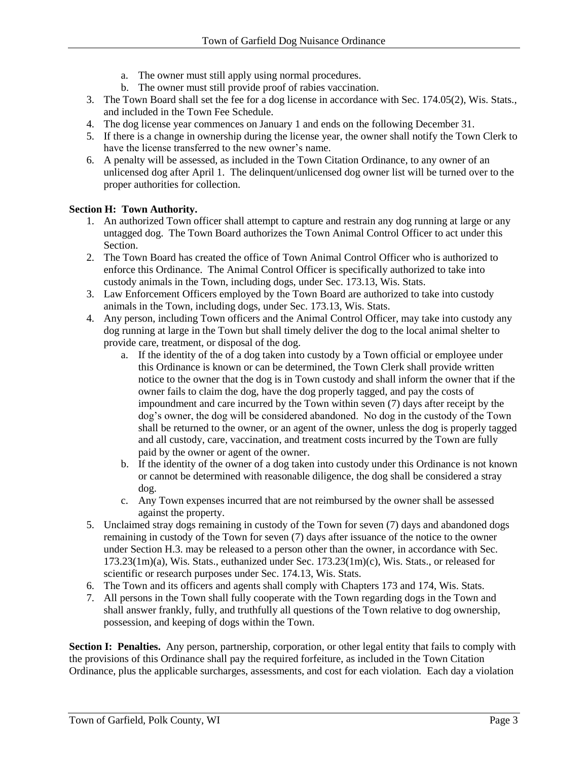- a. The owner must still apply using normal procedures.
- b. The owner must still provide proof of rabies vaccination.
- 3. The Town Board shall set the fee for a dog license in accordance with Sec. 174.05(2), Wis. Stats., and included in the Town Fee Schedule.
- 4. The dog license year commences on January 1 and ends on the following December 31.
- 5. If there is a change in ownership during the license year, the owner shall notify the Town Clerk to have the license transferred to the new owner's name.
- 6. A penalty will be assessed, as included in the Town Citation Ordinance, to any owner of an unlicensed dog after April 1. The delinquent/unlicensed dog owner list will be turned over to the proper authorities for collection.

#### **Section H: Town Authority.**

- 1. An authorized Town officer shall attempt to capture and restrain any dog running at large or any untagged dog. The Town Board authorizes the Town Animal Control Officer to act under this Section.
- 2. The Town Board has created the office of Town Animal Control Officer who is authorized to enforce this Ordinance. The Animal Control Officer is specifically authorized to take into custody animals in the Town, including dogs, under Sec. 173.13, Wis. Stats.
- 3. Law Enforcement Officers employed by the Town Board are authorized to take into custody animals in the Town, including dogs, under Sec. 173.13, Wis. Stats.
- 4. Any person, including Town officers and the Animal Control Officer, may take into custody any dog running at large in the Town but shall timely deliver the dog to the local animal shelter to provide care, treatment, or disposal of the dog.
	- a. If the identity of the of a dog taken into custody by a Town official or employee under this Ordinance is known or can be determined, the Town Clerk shall provide written notice to the owner that the dog is in Town custody and shall inform the owner that if the owner fails to claim the dog, have the dog properly tagged, and pay the costs of impoundment and care incurred by the Town within seven (7) days after receipt by the dog's owner, the dog will be considered abandoned. No dog in the custody of the Town shall be returned to the owner, or an agent of the owner, unless the dog is properly tagged and all custody, care, vaccination, and treatment costs incurred by the Town are fully paid by the owner or agent of the owner.
	- b. If the identity of the owner of a dog taken into custody under this Ordinance is not known or cannot be determined with reasonable diligence, the dog shall be considered a stray dog.
	- c. Any Town expenses incurred that are not reimbursed by the owner shall be assessed against the property.
- 5. Unclaimed stray dogs remaining in custody of the Town for seven (7) days and abandoned dogs remaining in custody of the Town for seven (7) days after issuance of the notice to the owner under Section H.3. may be released to a person other than the owner, in accordance with Sec. 173.23(1m)(a), Wis. Stats., euthanized under Sec. 173.23(1m)(c), Wis. Stats., or released for scientific or research purposes under Sec. 174.13, Wis. Stats.
- 6. The Town and its officers and agents shall comply with Chapters 173 and 174, Wis. Stats.
- 7. All persons in the Town shall fully cooperate with the Town regarding dogs in the Town and shall answer frankly, fully, and truthfully all questions of the Town relative to dog ownership, possession, and keeping of dogs within the Town.

**Section I: Penalties.** Any person, partnership, corporation, or other legal entity that fails to comply with the provisions of this Ordinance shall pay the required forfeiture, as included in the Town Citation Ordinance, plus the applicable surcharges, assessments, and cost for each violation. Each day a violation